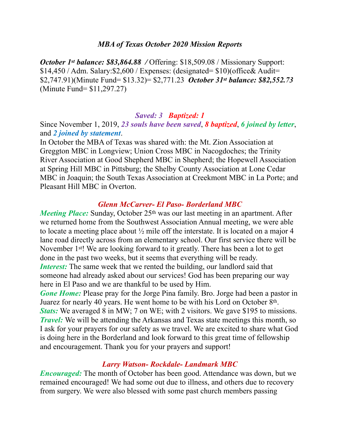#### *MBA of Texas October 2020 Mission Reports*

*October 1st balance: \$83,864.88 / Offering: \$18,509.08 / Missionary Support:* \$14,450 / Adm. Salary:\$2,600 / Expenses: (designated= \$10)(office& Audit= \$2,747.91)(Minute Fund= \$13.32)= \$2,771.23 *October 31st balance: \$82,552.73*  (Minute Fund= \$11,297.27)

#### *Saved: 3 Baptized: 1*

Since November 1, 2019, *23 souls have been saved*, *8 baptized*, *6 joined by letter*, and *2 joined by statement*.

In October the MBA of Texas was shared with: the Mt. Zion Association at Greggton MBC in Longview; Union Cross MBC in Nacogdoches; the Trinity River Association at Good Shepherd MBC in Shepherd; the Hopewell Association at Spring Hill MBC in Pittsburg; the Shelby County Association at Lone Cedar MBC in Joaquin; the South Texas Association at Creekmont MBC in La Porte; and Pleasant Hill MBC in Overton.

#### *Glenn McCarver- El Paso- Borderland MBC*

*Meeting Place:* Sunday, October 25<sup>th</sup> was our last meeting in an apartment. After we returned home from the Southwest Association Annual meeting, we were able to locate a meeting place about ½ mile off the interstate. It is located on a major 4 lane road directly across from an elementary school. Our first service there will be November 1st! We are looking forward to it greatly. There has been a lot to get done in the past two weeks, but it seems that everything will be ready. *Interest:* The same week that we rented the building, our landlord said that someone had already asked about our services! God has been preparing our way here in El Paso and we are thankful to be used by Him.

*Gone Home:* Please pray for the Jorge Pina family. Bro. Jorge had been a pastor in Juarez for nearly 40 years. He went home to be with his Lord on October 8th. *Stats:* We averaged 8 in MW; 7 on WE; with 2 visitors. We gave \$195 to missions. *Travel:* We will be attending the Arkansas and Texas state meetings this month, so I ask for your prayers for our safety as we travel. We are excited to share what God is doing here in the Borderland and look forward to this great time of fellowship and encouragement. Thank you for your prayers and support!

#### *Larry Watson- Rockdale- Landmark MBC*

*Encouraged:* The month of October has been good. Attendance was down, but we remained encouraged! We had some out due to illness, and others due to recovery from surgery. We were also blessed with some past church members passing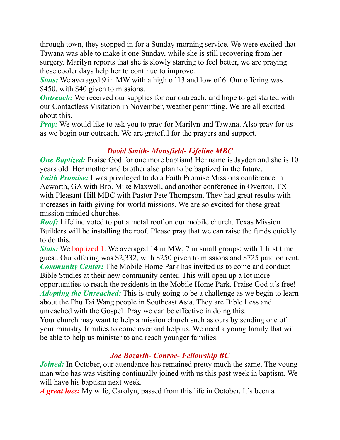through town, they stopped in for a Sunday morning service. We were excited that Tawana was able to make it one Sunday, while she is still recovering from her surgery. Marilyn reports that she is slowly starting to feel better, we are praying these cooler days help her to continue to improve.

*Stats:* We averaged 9 in MW with a high of 13 and low of 6. Our offering was \$450, with \$40 given to missions.

*Outreach:* We received our supplies for our outreach, and hope to get started with our Contactless Visitation in November, weather permitting. We are all excited about this.

*Pray:* We would like to ask you to pray for Marilyn and Tawana. Also pray for us as we begin our outreach. We are grateful for the prayers and support.

### *David Smith- Mansfield- Lifeline MBC*

*One Baptized:* Praise God for one more baptism! Her name is Jayden and she is 10 years old. Her mother and brother also plan to be baptized in the future. *Faith Promise:* I was privileged to do a Faith Promise Missions conference in Acworth, GA with Bro. Mike Maxwell, and another conference in Overton, TX with Pleasant Hill MBC with Pastor Pete Thompson. They had great results with increases in faith giving for world missions. We are so excited for these great mission minded churches.

*Roof:* Lifeline voted to put a metal roof on our mobile church. Texas Mission Builders will be installing the roof. Please pray that we can raise the funds quickly to do this.

*Stats:* We baptized 1. We averaged 14 in MW; 7 in small groups; with 1 first time guest. Our offering was \$2,332, with \$250 given to missions and \$725 paid on rent. *Community Center:* The Mobile Home Park has invited us to come and conduct Bible Studies at their new community center. This will open up a lot more opportunities to reach the residents in the Mobile Home Park. Praise God it's free! *Adopting the Unreached:* This is truly going to be a challenge as we begin to learn about the Phu Tai Wang people in Southeast Asia. They are Bible Less and unreached with the Gospel. Pray we can be effective in doing this.

Your church may want to help a mission church such as ours by sending one of your ministry families to come over and help us. We need a young family that will be able to help us minister to and reach younger families.

# *Joe Bozarth- Conroe- Fellowship BC*

*Joined:* In October, our attendance has remained pretty much the same. The young man who has was visiting continually joined with us this past week in baptism. We will have his baptism next week.

*A great loss:* My wife, Carolyn, passed from this life in October. It's been a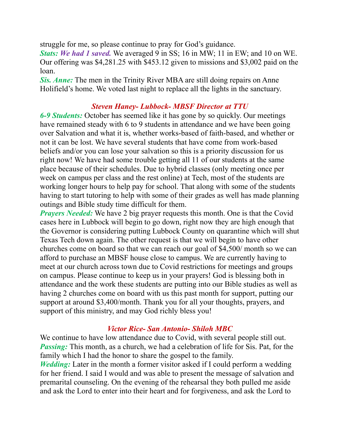struggle for me, so please continue to pray for God's guidance.

*Stats: We had 1 saved.* We averaged 9 in SS; 16 in MW; 11 in EW; and 10 on WE. Our offering was \$4,281.25 with \$453.12 given to missions and \$3,002 paid on the loan.

*Sis. Anne:* The men in the Trinity River MBA are still doing repairs on Anne Holifield's home. We voted last night to replace all the lights in the sanctuary.

## *Steven Haney- Lubbock- MBSF Director at TTU*

*6-9 Students:* October has seemed like it has gone by so quickly. Our meetings have remained steady with 6 to 9 students in attendance and we have been going over Salvation and what it is, whether works-based of faith-based, and whether or not it can be lost. We have several students that have come from work-based beliefs and/or you can lose your salvation so this is a priority discussion for us right now! We have had some trouble getting all 11 of our students at the same place because of their schedules. Due to hybrid classes (only meeting once per week on campus per class and the rest online) at Tech, most of the students are working longer hours to help pay for school. That along with some of the students having to start tutoring to help with some of their grades as well has made planning outings and Bible study time difficult for them.

*Prayers Needed:* We have 2 big prayer requests this month. One is that the Covid cases here in Lubbock will begin to go down, right now they are high enough that the Governor is considering putting Lubbock County on quarantine which will shut Texas Tech down again. The other request is that we will begin to have other churches come on board so that we can reach our goal of \$4,500/ month so we can afford to purchase an MBSF house close to campus. We are currently having to meet at our church across town due to Covid restrictions for meetings and groups on campus. Please continue to keep us in your prayers! God is blessing both in attendance and the work these students are putting into our Bible studies as well as having 2 churches come on board with us this past month for support, putting our support at around \$3,400/month. Thank you for all your thoughts, prayers, and support of this ministry, and may God richly bless you!

### *Victor Rice- San Antonio- Shiloh MBC*

We continue to have low attendance due to Covid, with several people still out. *Passing:* This month, as a church, we had a celebration of life for Sis. Pat, for the family which I had the honor to share the gospel to the family. *Wedding:* Later in the month a former visitor asked if I could perform a wedding for her friend. I said I would and was able to present the message of salvation and premarital counseling. On the evening of the rehearsal they both pulled me aside and ask the Lord to enter into their heart and for forgiveness, and ask the Lord to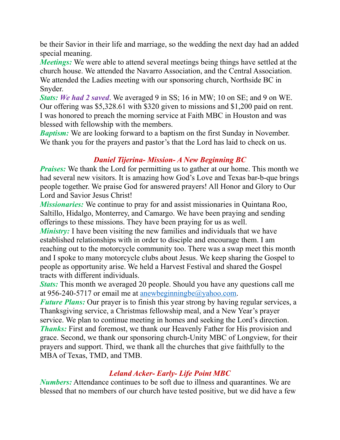be their Savior in their life and marriage, so the wedding the next day had an added special meaning.

*Meetings:* We were able to attend several meetings being things have settled at the church house. We attended the Navarro Association, and the Central Association. We attended the Ladies meeting with our sponsoring church, Northside BC in Snyder.

*Stats: We had 2 saved*. We averaged 9 in SS; 16 in MW; 10 on SE; and 9 on WE. Our offering was \$5,328.61 with \$320 given to missions and \$1,200 paid on rent. I was honored to preach the morning service at Faith MBC in Houston and was blessed with fellowship with the members.

*Baptism:* We are looking forward to a baptism on the first Sunday in November. We thank you for the prayers and pastor's that the Lord has laid to check on us.

## *Daniel Tijerina- Mission- A New Beginning BC*

*Praises:* We thank the Lord for permitting us to gather at our home. This month we had several new visitors. It is amazing how God's Love and Texas bar-b-que brings people together. We praise God for answered prayers! All Honor and Glory to Our Lord and Savior Jesus Christ!

*Missionaries:* We continue to pray for and assist missionaries in Quintana Roo, Saltillo, Hidalgo, Monterrey, and Camargo. We have been praying and sending offerings to these missions. They have been praying for us as well.

*Ministry:* I have been visiting the new families and individuals that we have established relationships with in order to disciple and encourage them. I am reaching out to the motorcycle community too. There was a swap meet this month and I spoke to many motorcycle clubs about Jesus. We keep sharing the Gospel to people as opportunity arise. We held a Harvest Festival and shared the Gospel tracts with different individuals.

*Stats:* This month we averaged 20 people. Should you have any questions call me at 956-240-5717 or email me at [anewbeginningbe@yahoo.com.](mailto:anewbeginningbe@yahoo.com)

*Future Plans:* Our prayer is to finish this year strong by having regular services, a Thanksgiving service, a Christmas fellowship meal, and a New Year's prayer service. We plan to continue meeting in homes and seeking the Lord's direction. *Thanks:* First and foremost, we thank our Heavenly Father for His provision and grace. Second, we thank our sponsoring church-Unity MBC of Longview, for their prayers and support. Third, we thank all the churches that give faithfully to the MBA of Texas, TMD, and TMB.

# *Leland Acker- Early- Life Point MBC*

*Numbers:* Attendance continues to be soft due to illness and quarantines. We are blessed that no members of our church have tested positive, but we did have a few